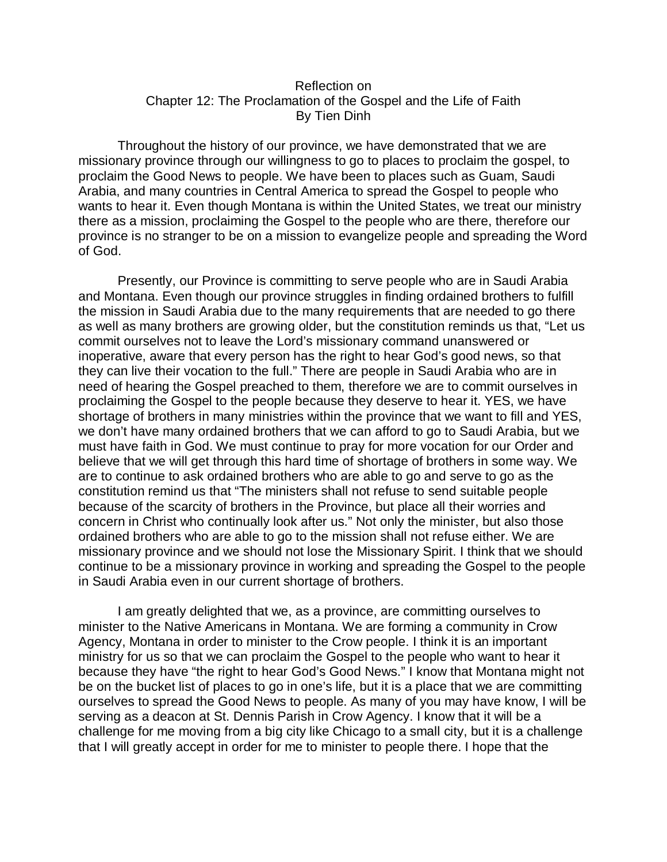## Reflection on Chapter 12: The Proclamation of the Gospel and the Life of Faith By Tien Dinh

Throughout the history of our province, we have demonstrated that we are missionary province through our willingness to go to places to proclaim the gospel, to proclaim the Good News to people. We have been to places such as Guam, Saudi Arabia, and many countries in Central America to spread the Gospel to people who wants to hear it. Even though Montana is within the United States, we treat our ministry there as a mission, proclaiming the Gospel to the people who are there, therefore our province is no stranger to be on a mission to evangelize people and spreading the Word of God.

Presently, our Province is committing to serve people who are in Saudi Arabia and Montana. Even though our province struggles in finding ordained brothers to fulfill the mission in Saudi Arabia due to the many requirements that are needed to go there as well as many brothers are growing older, but the constitution reminds us that, "Let us commit ourselves not to leave the Lord's missionary command unanswered or inoperative, aware that every person has the right to hear God's good news, so that they can live their vocation to the full." There are people in Saudi Arabia who are in need of hearing the Gospel preached to them, therefore we are to commit ourselves in proclaiming the Gospel to the people because they deserve to hear it. YES, we have shortage of brothers in many ministries within the province that we want to fill and YES, we don't have many ordained brothers that we can afford to go to Saudi Arabia, but we must have faith in God. We must continue to pray for more vocation for our Order and believe that we will get through this hard time of shortage of brothers in some way. We are to continue to ask ordained brothers who are able to go and serve to go as the constitution remind us that "The ministers shall not refuse to send suitable people because of the scarcity of brothers in the Province, but place all their worries and concern in Christ who continually look after us." Not only the minister, but also those ordained brothers who are able to go to the mission shall not refuse either. We are missionary province and we should not lose the Missionary Spirit. I think that we should continue to be a missionary province in working and spreading the Gospel to the people in Saudi Arabia even in our current shortage of brothers.

I am greatly delighted that we, as a province, are committing ourselves to minister to the Native Americans in Montana. We are forming a community in Crow Agency, Montana in order to minister to the Crow people. I think it is an important ministry for us so that we can proclaim the Gospel to the people who want to hear it because they have "the right to hear God's Good News." I know that Montana might not be on the bucket list of places to go in one's life, but it is a place that we are committing ourselves to spread the Good News to people. As many of you may have know, I will be serving as a deacon at St. Dennis Parish in Crow Agency. I know that it will be a challenge for me moving from a big city like Chicago to a small city, but it is a challenge that I will greatly accept in order for me to minister to people there. I hope that the